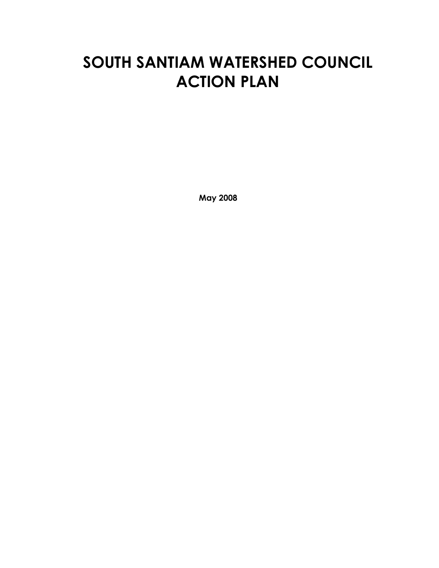# **SOUTH SANTIAM WATERSHED COUNCIL ACTION PLAN**

**May 2008**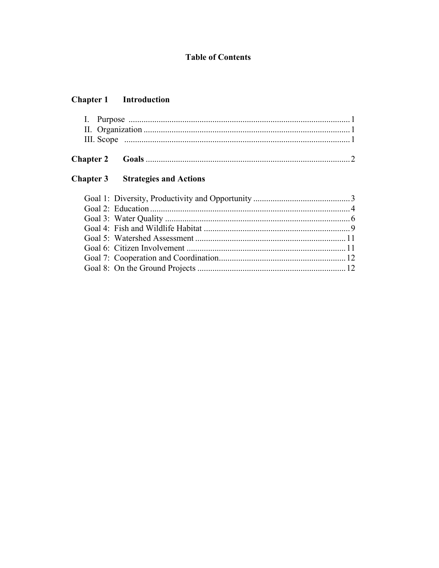## **Table of Contents**

#### **Chapter 1** Introduction

## **Chapter 3** Strategies and Actions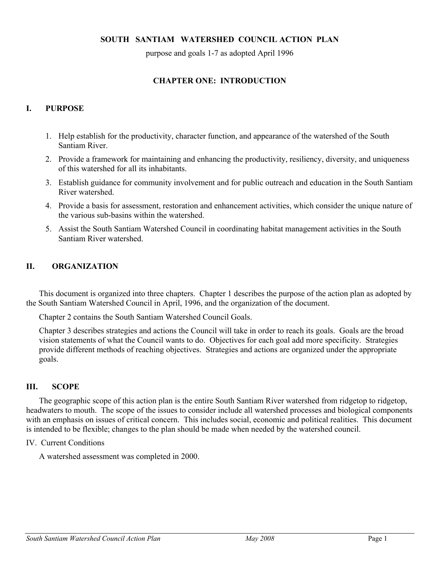#### **SOUTH SANTIAM WATERSHED COUNCIL ACTION PLAN**

purpose and goals 1-7 as adopted April 1996

#### **CHAPTER ONE: INTRODUCTION**

#### **I. PURPOSE**

- 1. Help establish for the productivity, character function, and appearance of the watershed of the South Santiam River.
- 2. Provide a framework for maintaining and enhancing the productivity, resiliency, diversity, and uniqueness of this watershed for all its inhabitants.
- 3. Establish guidance for community involvement and for public outreach and education in the South Santiam River watershed.
- 4. Provide a basis for assessment, restoration and enhancement activities, which consider the unique nature of the various sub-basins within the watershed.
- 5. Assist the South Santiam Watershed Council in coordinating habitat management activities in the South Santiam River watershed.

#### **II. ORGANIZATION**

This document is organized into three chapters. Chapter 1 describes the purpose of the action plan as adopted by the South Santiam Watershed Council in April, 1996, and the organization of the document.

Chapter 2 contains the South Santiam Watershed Council Goals.

Chapter 3 describes strategies and actions the Council will take in order to reach its goals. Goals are the broad vision statements of what the Council wants to do. Objectives for each goal add more specificity. Strategies provide different methods of reaching objectives. Strategies and actions are organized under the appropriate goals.

#### **III. SCOPE**

The geographic scope of this action plan is the entire South Santiam River watershed from ridgetop to ridgetop, headwaters to mouth. The scope of the issues to consider include all watershed processes and biological components with an emphasis on issues of critical concern. This includes social, economic and political realities. This document is intended to be flexible; changes to the plan should be made when needed by the watershed council.

#### IV. Current Conditions

A watershed assessment was completed in 2000.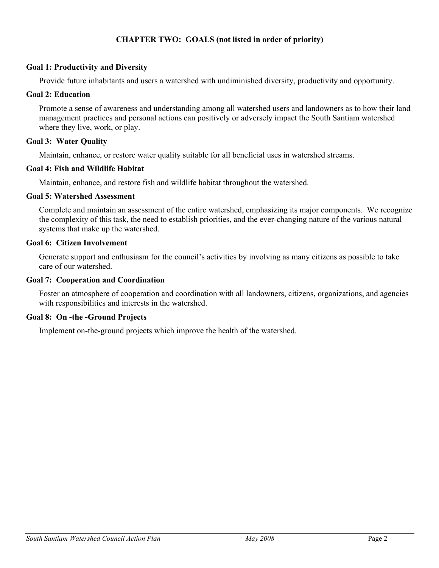### **CHAPTER TWO: GOALS (not listed in order of priority)**

#### **Goal 1: Productivity and Diversity**

Provide future inhabitants and users a watershed with undiminished diversity, productivity and opportunity.

#### **Goal 2: Education**

Promote a sense of awareness and understanding among all watershed users and landowners as to how their land management practices and personal actions can positively or adversely impact the South Santiam watershed where they live, work, or play.

#### **Goal 3: Water Quality**

Maintain, enhance, or restore water quality suitable for all beneficial uses in watershed streams.

#### **Goal 4: Fish and Wildlife Habitat**

Maintain, enhance, and restore fish and wildlife habitat throughout the watershed.

#### **Goal 5: Watershed Assessment**

Complete and maintain an assessment of the entire watershed, emphasizing its major components. We recognize the complexity of this task, the need to establish priorities, and the ever-changing nature of the various natural systems that make up the watershed.

#### **Goal 6: Citizen Involvement**

Generate support and enthusiasm for the council's activities by involving as many citizens as possible to take care of our watershed.

#### **Goal 7: Cooperation and Coordination**

Foster an atmosphere of cooperation and coordination with all landowners, citizens, organizations, and agencies with responsibilities and interests in the watershed.

#### **Goal 8: On -the -Ground Projects**

Implement on-the-ground projects which improve the health of the watershed.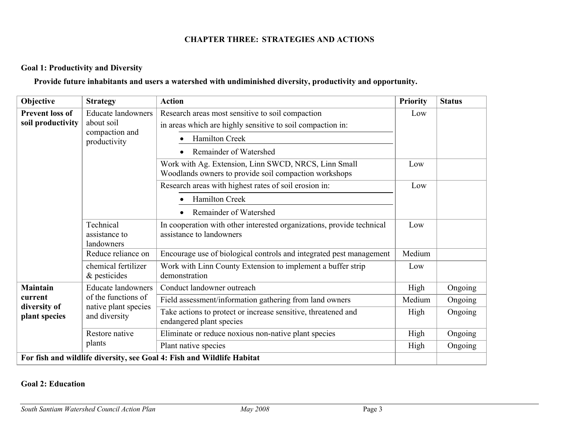## **CHAPTER THREE: STRATEGIES AND ACTIONS**

### **Goal 1: Productivity and Diversity**

### **Provide future inhabitants and users a watershed with undiminished diversity, productivity and opportunity.**

| Objective                                                                 | <b>Strategy</b>                                                                           | <b>Action</b>                                                                                                                                              | <b>Priority</b> | <b>Status</b> |
|---------------------------------------------------------------------------|-------------------------------------------------------------------------------------------|------------------------------------------------------------------------------------------------------------------------------------------------------------|-----------------|---------------|
| <b>Prevent loss of</b><br>soil productivity<br>about soil<br>productivity | <b>Educate landowners</b><br>compaction and                                               | Research areas most sensitive to soil compaction<br>in areas which are highly sensitive to soil compaction in:<br>Hamilton Creek<br>Remainder of Watershed | Low             |               |
|                                                                           |                                                                                           | Work with Ag. Extension, Linn SWCD, NRCS, Linn Small<br>Woodlands owners to provide soil compaction workshops                                              | Low             |               |
|                                                                           |                                                                                           | Research areas with highest rates of soil erosion in:                                                                                                      | Low             |               |
|                                                                           |                                                                                           | Hamilton Creek                                                                                                                                             |                 |               |
|                                                                           |                                                                                           | Remainder of Watershed                                                                                                                                     |                 |               |
|                                                                           | Technical<br>assistance to<br>landowners                                                  | In cooperation with other interested organizations, provide technical<br>assistance to landowners                                                          | Low             |               |
|                                                                           | Reduce reliance on                                                                        | Encourage use of biological controls and integrated pest management                                                                                        | Medium          |               |
|                                                                           | chemical fertilizer<br>& pesticides                                                       | Work with Linn County Extension to implement a buffer strip<br>demonstration                                                                               | Low             |               |
| <b>Maintain</b>                                                           | <b>Educate landowners</b>                                                                 | Conduct landowner outreach                                                                                                                                 | High            | Ongoing       |
| current                                                                   | of the functions of                                                                       | Field assessment/information gathering from land owners                                                                                                    | Medium          | Ongoing       |
| native plant species<br>diversity of<br>and diversity<br>plant species    | Take actions to protect or increase sensitive, threatened and<br>endangered plant species | High                                                                                                                                                       | Ongoing         |               |
|                                                                           | Restore native                                                                            | Eliminate or reduce noxious non-native plant species                                                                                                       | High            | Ongoing       |
|                                                                           | plants                                                                                    | Plant native species                                                                                                                                       | High            | Ongoing       |
|                                                                           |                                                                                           | For fish and wildlife diversity, see Goal 4: Fish and Wildlife Habitat                                                                                     |                 |               |

### **Goal 2: Education**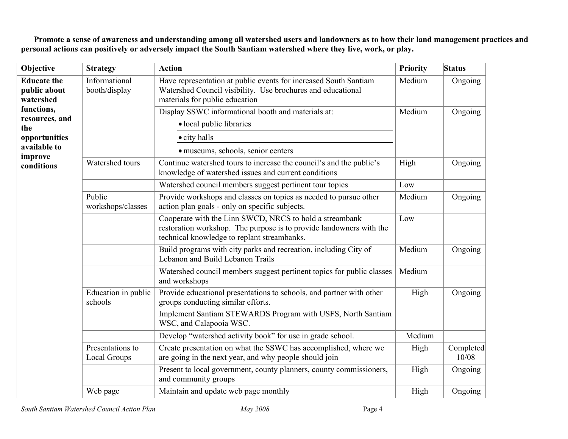**Promote a sense of awareness and understanding among all watershed users and landowners as to how their land management practices and personal actions can positively or adversely impact the South Santiam watershed where they live, work, or play.**

| Objective                                                            | <b>Strategy</b>                  | <b>Action</b>                                                                                                                                                                 | <b>Priority</b> | <b>Status</b>      |
|----------------------------------------------------------------------|----------------------------------|-------------------------------------------------------------------------------------------------------------------------------------------------------------------------------|-----------------|--------------------|
| <b>Educate the</b><br>public about<br>watershed                      | Informational<br>booth/display   | Have representation at public events for increased South Santiam<br>Watershed Council visibility. Use brochures and educational<br>materials for public education             | Medium          | Ongoing            |
| functions,<br>resources, and<br>the<br>opportunities<br>available to |                                  | Display SSWC informational booth and materials at:<br>· local public libraries<br>• city halls<br>· museums, schools, senior centers                                          | Medium          | Ongoing            |
| improve<br>conditions                                                | Watershed tours                  | Continue watershed tours to increase the council's and the public's<br>knowledge of watershed issues and current conditions                                                   | High            | Ongoing            |
|                                                                      |                                  | Watershed council members suggest pertinent tour topics                                                                                                                       | Low             |                    |
|                                                                      | Public<br>workshops/classes      | Provide workshops and classes on topics as needed to pursue other<br>action plan goals - only on specific subjects.                                                           | Medium          | Ongoing            |
|                                                                      |                                  | Cooperate with the Linn SWCD, NRCS to hold a streambank<br>restoration workshop. The purpose is to provide landowners with the<br>technical knowledge to replant streambanks. | Low             |                    |
|                                                                      |                                  | Build programs with city parks and recreation, including City of<br>Lebanon and Build Lebanon Trails                                                                          | Medium          | Ongoing            |
|                                                                      |                                  | Watershed council members suggest pertinent topics for public classes<br>and workshops                                                                                        | Medium          |                    |
|                                                                      | Education in public<br>schools   | Provide educational presentations to schools, and partner with other<br>groups conducting similar efforts.                                                                    | High            | Ongoing            |
|                                                                      |                                  | Implement Santiam STEWARDS Program with USFS, North Santiam<br>WSC, and Calapooia WSC.                                                                                        |                 |                    |
|                                                                      |                                  | Develop "watershed activity book" for use in grade school.                                                                                                                    | Medium          |                    |
|                                                                      | Presentations to<br>Local Groups | Create presentation on what the SSWC has accomplished, where we<br>are going in the next year, and why people should join                                                     | High            | Completed<br>10/08 |
|                                                                      |                                  | Present to local government, county planners, county commissioners,<br>and community groups                                                                                   | High            | Ongoing            |
|                                                                      | Web page                         | Maintain and update web page monthly                                                                                                                                          | High            | Ongoing            |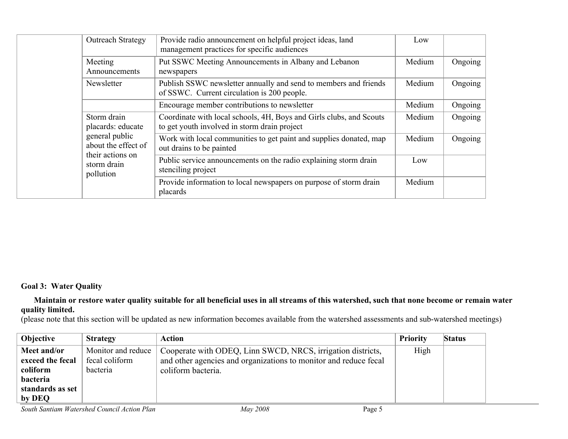|  | <b>Outreach Strategy</b>                                  | Provide radio announcement on helpful project ideas, land<br>management practices for specific audiences            | Low    |         |
|--|-----------------------------------------------------------|---------------------------------------------------------------------------------------------------------------------|--------|---------|
|  | Meeting<br>Announcements                                  | Put SSWC Meeting Announcements in Albany and Lebanon<br>newspapers                                                  | Medium | Ongoing |
|  | Newsletter                                                | Publish SSWC newsletter annually and send to members and friends<br>of SSWC. Current circulation is 200 people.     | Medium | Ongoing |
|  |                                                           | Encourage member contributions to newsletter                                                                        | Medium | Ongoing |
|  | Storm drain<br>placards: educate                          | Coordinate with local schools, 4H, Boys and Girls clubs, and Scouts<br>to get youth involved in storm drain project | Medium | Ongoing |
|  | general public<br>about the effect of<br>their actions on | Work with local communities to get paint and supplies donated, map<br>out drains to be painted                      | Medium | Ongoing |
|  | storm drain<br>pollution                                  | Public service announcements on the radio explaining storm drain<br>stenciling project                              | Low    |         |
|  |                                                           | Provide information to local newspapers on purpose of storm drain<br>placards                                       | Medium |         |

#### **Goal 3: Water Quality**

#### **Maintain or restore water quality suitable for all beneficial uses in all streams of this watershed, such that none become or remain water quality limited.**

(please note that this section will be updated as new information becomes available from the watershed assessments and sub-watershed meetings)

| <b>Objective</b> | <b>Strategy</b>    | Action                                                           | Priority | <b>Status</b> |
|------------------|--------------------|------------------------------------------------------------------|----------|---------------|
| Meet and/or      | Monitor and reduce | Cooperate with ODEQ, Linn SWCD, NRCS, irrigation districts,      | High     |               |
| exceed the fecal | fecal coliform     | and other agencies and organizations to monitor and reduce fecal |          |               |
| coliform         | bacteria           | coliform bacteria.                                               |          |               |
| <b>bacteria</b>  |                    |                                                                  |          |               |
| standards as set |                    |                                                                  |          |               |
| by DEQ           |                    |                                                                  |          |               |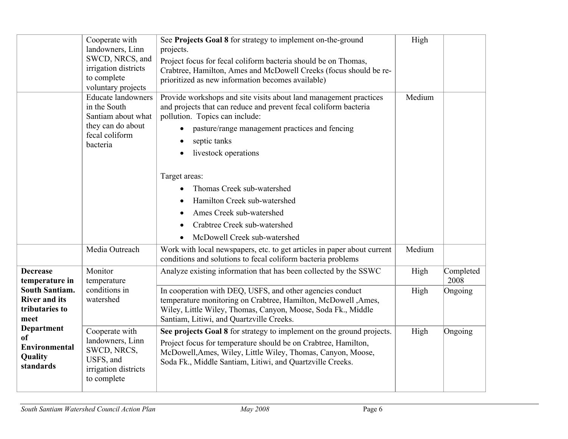|                                                                                                                                                               | Cooperate with<br>landowners, Linn<br>SWCD, NRCS, and<br>irrigation districts<br>to complete<br>voluntary projects | See Projects Goal 8 for strategy to implement on-the-ground<br>projects.<br>Project focus for fecal coliform bacteria should be on Thomas,<br>Crabtree, Hamilton, Ames and McDowell Creeks (focus should be re-<br>prioritized as new information becomes available)                                                          | High   |                   |
|---------------------------------------------------------------------------------------------------------------------------------------------------------------|--------------------------------------------------------------------------------------------------------------------|-------------------------------------------------------------------------------------------------------------------------------------------------------------------------------------------------------------------------------------------------------------------------------------------------------------------------------|--------|-------------------|
|                                                                                                                                                               | <b>Educate landowners</b><br>in the South<br>Santiam about what<br>they can do about<br>fecal coliform<br>bacteria | Provide workshops and site visits about land management practices<br>and projects that can reduce and prevent fecal coliform bacteria<br>pollution. Topics can include:<br>pasture/range management practices and fencing<br>septic tanks<br>$\bullet$<br>livestock operations<br>Target areas:<br>Thomas Creek sub-watershed | Medium |                   |
|                                                                                                                                                               |                                                                                                                    | Hamilton Creek sub-watershed<br>Ames Creek sub-watershed                                                                                                                                                                                                                                                                      |        |                   |
|                                                                                                                                                               |                                                                                                                    | Crabtree Creek sub-watershed                                                                                                                                                                                                                                                                                                  |        |                   |
|                                                                                                                                                               |                                                                                                                    | McDowell Creek sub-watershed<br>$\bullet$                                                                                                                                                                                                                                                                                     |        |                   |
|                                                                                                                                                               | Media Outreach                                                                                                     | Work with local newspapers, etc. to get articles in paper about current<br>conditions and solutions to fecal coliform bacteria problems                                                                                                                                                                                       | Medium |                   |
| <b>Decrease</b><br>temperature in                                                                                                                             | Monitor<br>temperature                                                                                             | Analyze existing information that has been collected by the SSWC                                                                                                                                                                                                                                                              | High   | Completed<br>2008 |
| <b>South Santiam.</b><br><b>River and its</b><br>tributaries to<br>meet<br><b>Department</b><br><sub>of</sub><br><b>Environmental</b><br>Quality<br>standards | conditions in<br>watershed                                                                                         | In cooperation with DEQ, USFS, and other agencies conduct<br>temperature monitoring on Crabtree, Hamilton, McDowell ,Ames,<br>Wiley, Little Wiley, Thomas, Canyon, Moose, Soda Fk., Middle<br>Santiam, Litiwi, and Quartzville Creeks.                                                                                        | High   | Ongoing           |
|                                                                                                                                                               | Cooperate with<br>landowners, Linn<br>SWCD, NRCS,<br>USFS, and<br>irrigation districts<br>to complete              | See projects Goal 8 for strategy to implement on the ground projects.<br>Project focus for temperature should be on Crabtree, Hamilton,<br>McDowell, Ames, Wiley, Little Wiley, Thomas, Canyon, Moose,<br>Soda Fk., Middle Santiam, Litiwi, and Quartzville Creeks.                                                           | High   | Ongoing           |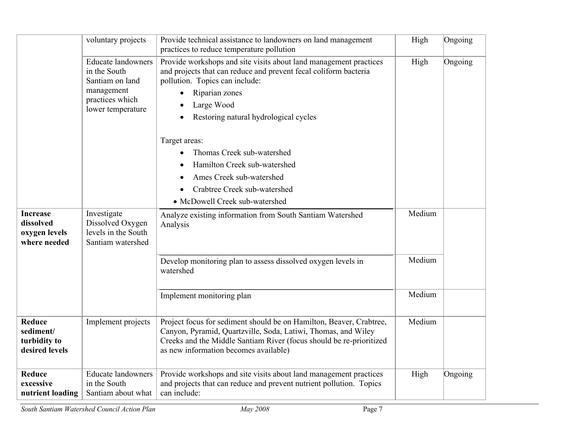|                                                               | voluntary projects                                                                                                 | Provide technical assistance to landowners on land management<br>practices to reduce temperature pollution                                                                                                                                           | High   | Ongoing |
|---------------------------------------------------------------|--------------------------------------------------------------------------------------------------------------------|------------------------------------------------------------------------------------------------------------------------------------------------------------------------------------------------------------------------------------------------------|--------|---------|
|                                                               | <b>Educate landowners</b><br>in the South<br>Santiam on land<br>management<br>practices which<br>lower temperature | Provide workshops and site visits about land management practices<br>and projects that can reduce and prevent fecal coliform bacteria<br>pollution. Topics can include:<br>Riparian zones<br>Large Wood<br>Restoring natural hydrological cycles     | High   | Ongoing |
|                                                               |                                                                                                                    | Target areas:<br>Thomas Creek sub-watershed<br>Hamilton Creek sub-watershed<br>Ames Creek sub-watershed<br>Crabtree Creek sub-watershed<br>• McDowell Creek sub-watershed                                                                            |        |         |
| <b>Increase</b><br>dissolved<br>oxygen levels<br>where needed | Investigate<br>Dissolved Oxygen<br>levels in the South<br>Santiam watershed                                        | Analyze existing information from South Santiam Watershed<br>Analysis                                                                                                                                                                                | Medium |         |
|                                                               |                                                                                                                    | Develop monitoring plan to assess dissolved oxygen levels in<br>watershed                                                                                                                                                                            | Medium |         |
|                                                               |                                                                                                                    | Implement monitoring plan                                                                                                                                                                                                                            | Medium |         |
| <b>Reduce</b><br>sediment/<br>turbidity to<br>desired levels  | Implement projects                                                                                                 | Project focus for sediment should be on Hamilton, Beaver, Crabtree,<br>Canyon, Pyramid, Quartzville, Soda, Latiwi, Thomas, and Wiley<br>Creeks and the Middle Santiam River (focus should be re-prioritized<br>as new information becomes available) | Medium |         |
| <b>Reduce</b><br>excessive<br>nutrient loading                | <b>Educate landowners</b><br>in the South<br>Santiam about what                                                    | Provide workshops and site visits about land management practices<br>and projects that can reduce and prevent nutrient pollution. Topics<br>can include:                                                                                             | High   | Ongoing |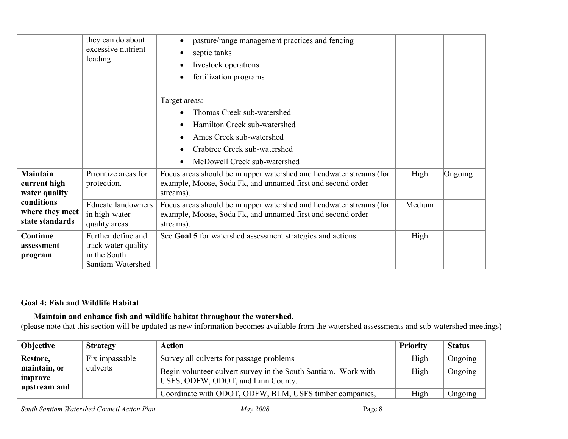|                                                  | they can do about<br>excessive nutrient<br>loading          | pasture/range management practices and fencing<br>$\bullet$<br>septic tanks<br>livestock operations<br>fertilization programs                   |        |         |
|--------------------------------------------------|-------------------------------------------------------------|-------------------------------------------------------------------------------------------------------------------------------------------------|--------|---------|
|                                                  |                                                             | Target areas:<br>Thomas Creek sub-watershed                                                                                                     |        |         |
|                                                  |                                                             | Hamilton Creek sub-watershed                                                                                                                    |        |         |
|                                                  |                                                             | Ames Creek sub-watershed                                                                                                                        |        |         |
|                                                  |                                                             | Crabtree Creek sub-watershed                                                                                                                    |        |         |
|                                                  |                                                             | McDowell Creek sub-watershed                                                                                                                    |        |         |
| <b>Maintain</b><br>current high<br>water quality | Prioritize areas for<br>protection.                         | Focus areas should be in upper watershed and headwater streams (for<br>example, Moose, Soda Fk, and unnamed first and second order<br>streams). | High   | Ongoing |
| conditions<br>where they meet<br>state standards | <b>Educate landowners</b><br>in high-water<br>quality areas | Focus areas should be in upper watershed and headwater streams (for<br>example, Moose, Soda Fk, and unnamed first and second order<br>streams). | Medium |         |
| Continue                                         | Further define and                                          | See Goal 5 for watershed assessment strategies and actions                                                                                      | High   |         |
| assessment<br>program                            | track water quality<br>in the South<br>Santiam Watershed    |                                                                                                                                                 |        |         |

## **Goal 4: Fish and Wildlife Habitat**

### **Maintain and enhance fish and wildlife habitat throughout the watershed.**

(please note that this section will be updated as new information becomes available from the watershed assessments and sub-watershed meetings)

| Objective                               | <b>Strategy</b> | <b>Action</b>                                                                                        | Priority | <b>Status</b> |
|-----------------------------------------|-----------------|------------------------------------------------------------------------------------------------------|----------|---------------|
| Restore,                                | Fix impassable  | Survey all culverts for passage problems                                                             | High     | Ongoing       |
| maintain, or<br>improve<br>upstream and | culverts        | Begin volunteer culvert survey in the South Santiam. Work with<br>USFS, ODFW, ODOT, and Linn County. | High     | Ongoing       |
|                                         |                 | Coordinate with ODOT, ODFW, BLM, USFS timber companies,                                              | High     | Ongoing       |

*South Santiam Watershed Council Action Plan May 2008* Page 8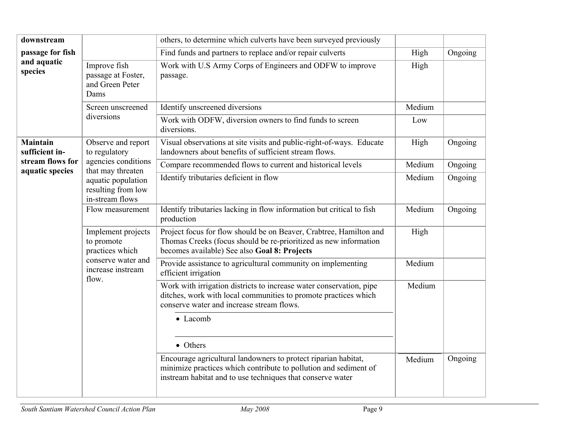| downstream                          |                                                                                                         | others, to determine which culverts have been surveyed previously                                                                                                                                |        |         |
|-------------------------------------|---------------------------------------------------------------------------------------------------------|--------------------------------------------------------------------------------------------------------------------------------------------------------------------------------------------------|--------|---------|
| passage for fish                    |                                                                                                         | Find funds and partners to replace and/or repair culverts                                                                                                                                        | High   | Ongoing |
| and aquatic<br>species              | Improve fish<br>passage at Foster,<br>and Green Peter<br>Dams                                           | Work with U.S Army Corps of Engineers and ODFW to improve<br>passage.                                                                                                                            | High   |         |
|                                     | Screen unscreened                                                                                       | Identify unscreened diversions                                                                                                                                                                   | Medium |         |
|                                     | diversions                                                                                              | Work with ODFW, diversion owners to find funds to screen<br>diversions.                                                                                                                          | Low    |         |
| <b>Maintain</b><br>sufficient in-   | Observe and report<br>to regulatory                                                                     | Visual observations at site visits and public-right-of-ways. Educate<br>landowners about benefits of sufficient stream flows.                                                                    | High   | Ongoing |
| stream flows for<br>aquatic species | agencies conditions<br>that may threaten                                                                | Compare recommended flows to current and historical levels                                                                                                                                       | Medium | Ongoing |
|                                     | aquatic population<br>resulting from low<br>in-stream flows                                             | Identify tributaries deficient in flow                                                                                                                                                           | Medium | Ongoing |
|                                     | Flow measurement                                                                                        | Identify tributaries lacking in flow information but critical to fish<br>production                                                                                                              | Medium | Ongoing |
|                                     | Implement projects<br>to promote<br>practices which<br>conserve water and<br>increase instream<br>flow. | Project focus for flow should be on Beaver, Crabtree, Hamilton and<br>Thomas Creeks (focus should be re-prioritized as new information<br>becomes available) See also Goal 8: Projects           | High   |         |
|                                     |                                                                                                         | Provide assistance to agricultural community on implementing<br>efficient irrigation                                                                                                             | Medium |         |
|                                     |                                                                                                         | Work with irrigation districts to increase water conservation, pipe<br>ditches, work with local communities to promote practices which<br>conserve water and increase stream flows.              | Medium |         |
|                                     |                                                                                                         | • Lacomb                                                                                                                                                                                         |        |         |
|                                     |                                                                                                         | • Others                                                                                                                                                                                         |        |         |
|                                     |                                                                                                         | Encourage agricultural landowners to protect riparian habitat,<br>minimize practices which contribute to pollution and sediment of<br>instream habitat and to use techniques that conserve water | Medium | Ongoing |
|                                     |                                                                                                         |                                                                                                                                                                                                  |        |         |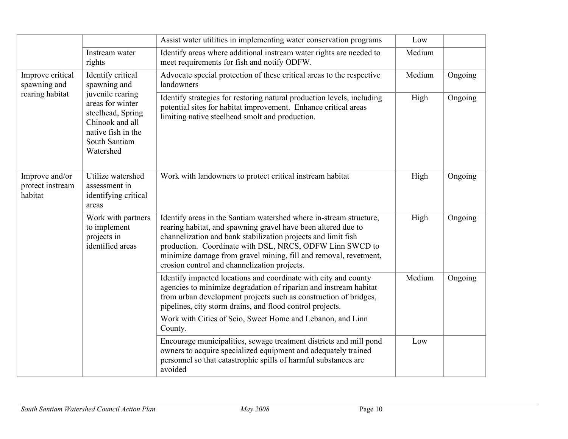|                                               |                                                                                                                                  | Assist water utilities in implementing water conservation programs                                                                                                                                                                                                                                                                                                                   | Low    |         |
|-----------------------------------------------|----------------------------------------------------------------------------------------------------------------------------------|--------------------------------------------------------------------------------------------------------------------------------------------------------------------------------------------------------------------------------------------------------------------------------------------------------------------------------------------------------------------------------------|--------|---------|
|                                               | Instream water<br>rights                                                                                                         | Identify areas where additional instream water rights are needed to<br>meet requirements for fish and notify ODFW.                                                                                                                                                                                                                                                                   | Medium |         |
| Improve critical<br>spawning and              | Identify critical<br>spawning and                                                                                                | Advocate special protection of these critical areas to the respective<br>landowners                                                                                                                                                                                                                                                                                                  | Medium | Ongoing |
| rearing habitat                               | juvenile rearing<br>areas for winter<br>steelhead, Spring<br>Chinook and all<br>native fish in the<br>South Santiam<br>Watershed | Identify strategies for restoring natural production levels, including<br>potential sites for habitat improvement. Enhance critical areas<br>limiting native steelhead smolt and production.                                                                                                                                                                                         | High   | Ongoing |
| Improve and/or<br>protect instream<br>habitat | Utilize watershed<br>assessment in<br>identifying critical<br>areas                                                              | Work with landowners to protect critical instream habitat                                                                                                                                                                                                                                                                                                                            | High   | Ongoing |
|                                               | Work with partners<br>to implement<br>projects in<br>identified areas                                                            | Identify areas in the Santiam watershed where in-stream structure,<br>rearing habitat, and spawning gravel have been altered due to<br>channelization and bank stabilization projects and limit fish<br>production. Coordinate with DSL, NRCS, ODFW Linn SWCD to<br>minimize damage from gravel mining, fill and removal, revetment,<br>erosion control and channelization projects. | High   | Ongoing |
|                                               |                                                                                                                                  | Identify impacted locations and coordinate with city and county<br>agencies to minimize degradation of riparian and instream habitat<br>from urban development projects such as construction of bridges,<br>pipelines, city storm drains, and flood control projects.                                                                                                                | Medium | Ongoing |
|                                               |                                                                                                                                  | Work with Cities of Scio, Sweet Home and Lebanon, and Linn<br>County.                                                                                                                                                                                                                                                                                                                |        |         |
|                                               |                                                                                                                                  | Encourage municipalities, sewage treatment districts and mill pond<br>owners to acquire specialized equipment and adequately trained<br>personnel so that catastrophic spills of harmful substances are<br>avoided                                                                                                                                                                   | Low    |         |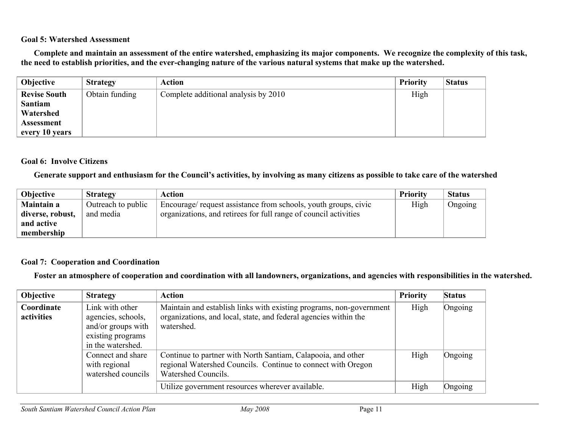#### **Goal 5: Watershed Assessment**

**Complete and maintain an assessment of the entire watershed, emphasizing its major components. We recognize the complexity of this task, the need to establish priorities, and the ever-changing nature of the various natural systems that make up the watershed.**

| Objective           | <b>Strategy</b> | <b>Action</b>                        | <b>Priority</b> | <b>Status</b> |
|---------------------|-----------------|--------------------------------------|-----------------|---------------|
| <b>Revise South</b> | Obtain funding  | Complete additional analysis by 2010 | High            |               |
| <b>Santiam</b>      |                 |                                      |                 |               |
| Watershed           |                 |                                      |                 |               |
| <b>Assessment</b>   |                 |                                      |                 |               |
| every 10 years      |                 |                                      |                 |               |

#### **Goal 6: Involve Citizens**

#### **Generate support and enthusiasm for the Council's activities, by involving as many citizens as possible to take care of the watershed**

| <b>Objective</b>  | <b>Strategy</b>    | <b>Action</b>                                                    | <b>Priority</b> | <b>Status</b> |
|-------------------|--------------------|------------------------------------------------------------------|-----------------|---------------|
| <b>Maintain a</b> | Outreach to public | Encourage/ request assistance from schools, youth groups, civic  | High            | Ongoing       |
| diverse, robust,  | and media          | organizations, and retirees for full range of council activities |                 |               |
| and active        |                    |                                                                  |                 |               |
| membership        |                    |                                                                  |                 |               |

#### **Goal 7: Cooperation and Coordination**

**Foster an atmosphere of cooperation and coordination with all landowners, organizations, and agencies with responsibilities in the watershed.**

| Objective                | <b>Strategy</b>                                                                                       | <b>Action</b>                                                                                                                                         | <b>Priority</b> | <b>Status</b> |
|--------------------------|-------------------------------------------------------------------------------------------------------|-------------------------------------------------------------------------------------------------------------------------------------------------------|-----------------|---------------|
| Coordinate<br>activities | Link with other<br>agencies, schools,<br>and/or groups with<br>existing programs<br>in the watershed. | Maintain and establish links with existing programs, non-government<br>organizations, and local, state, and federal agencies within the<br>watershed. | High            | Ongoing       |
|                          | Connect and share<br>with regional<br>watershed councils                                              | Continue to partner with North Santiam, Calapooia, and other<br>regional Watershed Councils. Continue to connect with Oregon<br>Watershed Councils.   | High            | Ongoing       |
|                          |                                                                                                       | Utilize government resources wherever available.                                                                                                      | High            | Ongoing       |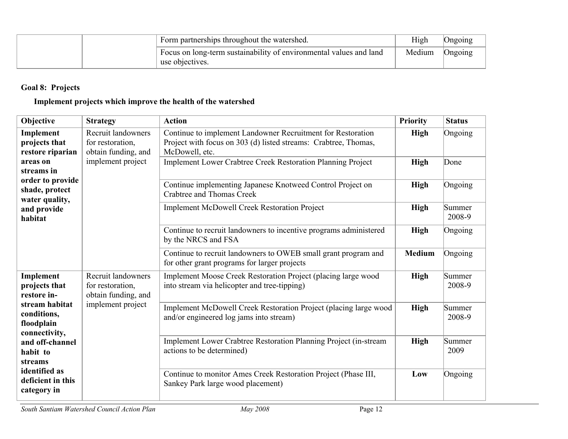| Form partnerships throughout the watershed.                                           | High   | Ongoing |
|---------------------------------------------------------------------------------------|--------|---------|
| Focus on long-term sustainability of environmental values and land<br>use objectives. | Medium | Ongoing |

## **Goal 8: Projects**

## **Implement projects which improve the health of the watershed**

| Objective                                                                                                      | <b>Strategy</b>                                               | <b>Action</b>                                                                                                                                    | <b>Priority</b> | <b>Status</b>    |
|----------------------------------------------------------------------------------------------------------------|---------------------------------------------------------------|--------------------------------------------------------------------------------------------------------------------------------------------------|-----------------|------------------|
| Implement<br>projects that<br>restore riparian<br>areas on<br>streams in<br>order to provide<br>shade, protect | Recruit landowners<br>for restoration,<br>obtain funding, and | Continue to implement Landowner Recruitment for Restoration<br>Project with focus on 303 (d) listed streams: Crabtree, Thomas,<br>McDowell, etc. | <b>High</b>     | Ongoing          |
|                                                                                                                | implement project<br>water quality,                           | Implement Lower Crabtree Creek Restoration Planning Project                                                                                      | <b>High</b>     | Done             |
|                                                                                                                |                                                               | Continue implementing Japanese Knotweed Control Project on<br><b>Crabtree and Thomas Creek</b>                                                   | <b>High</b>     | Ongoing          |
| and provide<br>habitat                                                                                         |                                                               | <b>Implement McDowell Creek Restoration Project</b>                                                                                              | <b>High</b>     | Summer<br>2008-9 |
|                                                                                                                |                                                               | Continue to recruit landowners to incentive programs administered<br>by the NRCS and FSA                                                         | <b>High</b>     | Ongoing          |
|                                                                                                                |                                                               | Continue to recruit landowners to OWEB small grant program and<br>for other grant programs for larger projects                                   | <b>Medium</b>   | Ongoing          |
| Implement<br>projects that<br>restore in-                                                                      | Recruit landowners<br>for restoration,<br>obtain funding, and | Implement Moose Creek Restoration Project (placing large wood<br>into stream via helicopter and tree-tipping)                                    | <b>High</b>     | Summer<br>2008-9 |
| stream habitat<br>conditions,<br>floodplain<br>connectivity,                                                   | implement project                                             | Implement McDowell Creek Restoration Project (placing large wood<br>and/or engineered log jams into stream)                                      | <b>High</b>     | Summer<br>2008-9 |
| and off-channel<br>habit to<br>streams                                                                         |                                                               | Implement Lower Crabtree Restoration Planning Project (in-stream<br>actions to be determined)                                                    | <b>High</b>     | Summer<br>2009   |
| identified as<br>deficient in this<br>category in                                                              |                                                               | Continue to monitor Ames Creek Restoration Project (Phase III,<br>Sankey Park large wood placement)                                              | Low             | Ongoing          |